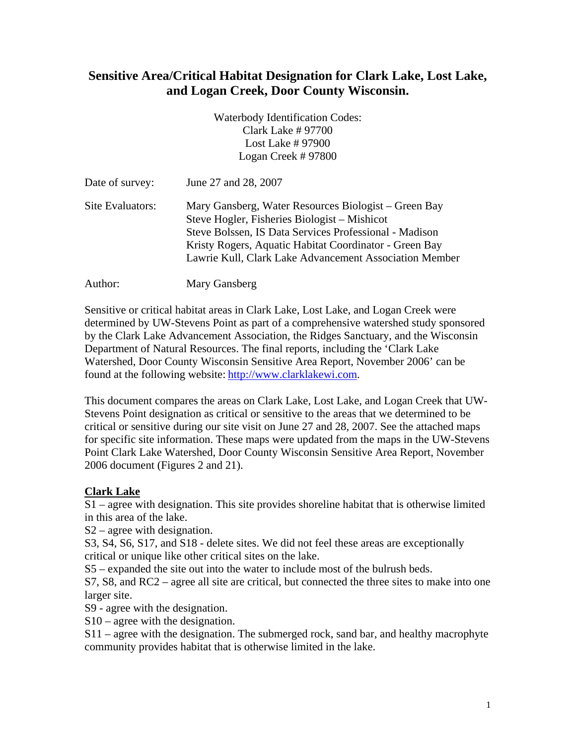## **Sensitive Area/Critical Habitat Designation for Clark Lake, Lost Lake, and Logan Creek, Door County Wisconsin.**

Waterbody Identification Codes: Clark Lake # 97700 Lost Lake # 97900 Logan Creek # 97800

| Date of survey:  | June 27 and 28, 2007                                                                                                                                                                                                                                                               |
|------------------|------------------------------------------------------------------------------------------------------------------------------------------------------------------------------------------------------------------------------------------------------------------------------------|
| Site Evaluators: | Mary Gansberg, Water Resources Biologist – Green Bay<br>Steve Hogler, Fisheries Biologist – Mishicot<br>Steve Bolssen, IS Data Services Professional - Madison<br>Kristy Rogers, Aquatic Habitat Coordinator - Green Bay<br>Lawrie Kull, Clark Lake Advancement Association Member |
|                  |                                                                                                                                                                                                                                                                                    |

Author: Mary Gansberg

Sensitive or critical habitat areas in Clark Lake, Lost Lake, and Logan Creek were determined by UW-Stevens Point as part of a comprehensive watershed study sponsored by the Clark Lake Advancement Association, the Ridges Sanctuary, and the Wisconsin Department of Natural Resources. The final reports, including the 'Clark Lake Watershed, Door County Wisconsin Sensitive Area Report, November 2006' can be found at the following website: [http://www.clarklakewi.com.](http://www.clarklakewi.com/)

This document compares the areas on Clark Lake, Lost Lake, and Logan Creek that UW-Stevens Point designation as critical or sensitive to the areas that we determined to be critical or sensitive during our site visit on June 27 and 28, 2007. See the attached maps for specific site information. These maps were updated from the maps in the UW-Stevens Point Clark Lake Watershed, Door County Wisconsin Sensitive Area Report, November 2006 document (Figures 2 and 21).

## **Clark Lake**

S1 – agree with designation. This site provides shoreline habitat that is otherwise limited in this area of the lake.

S2 – agree with designation.

S3, S4, S6, S17, and S18 - delete sites. We did not feel these areas are exceptionally critical or unique like other critical sites on the lake.

S5 – expanded the site out into the water to include most of the bulrush beds.

S7, S8, and RC2 – agree all site are critical, but connected the three sites to make into one larger site.

S9 - agree with the designation.

S10 – agree with the designation.

S11 – agree with the designation. The submerged rock, sand bar, and healthy macrophyte community provides habitat that is otherwise limited in the lake.